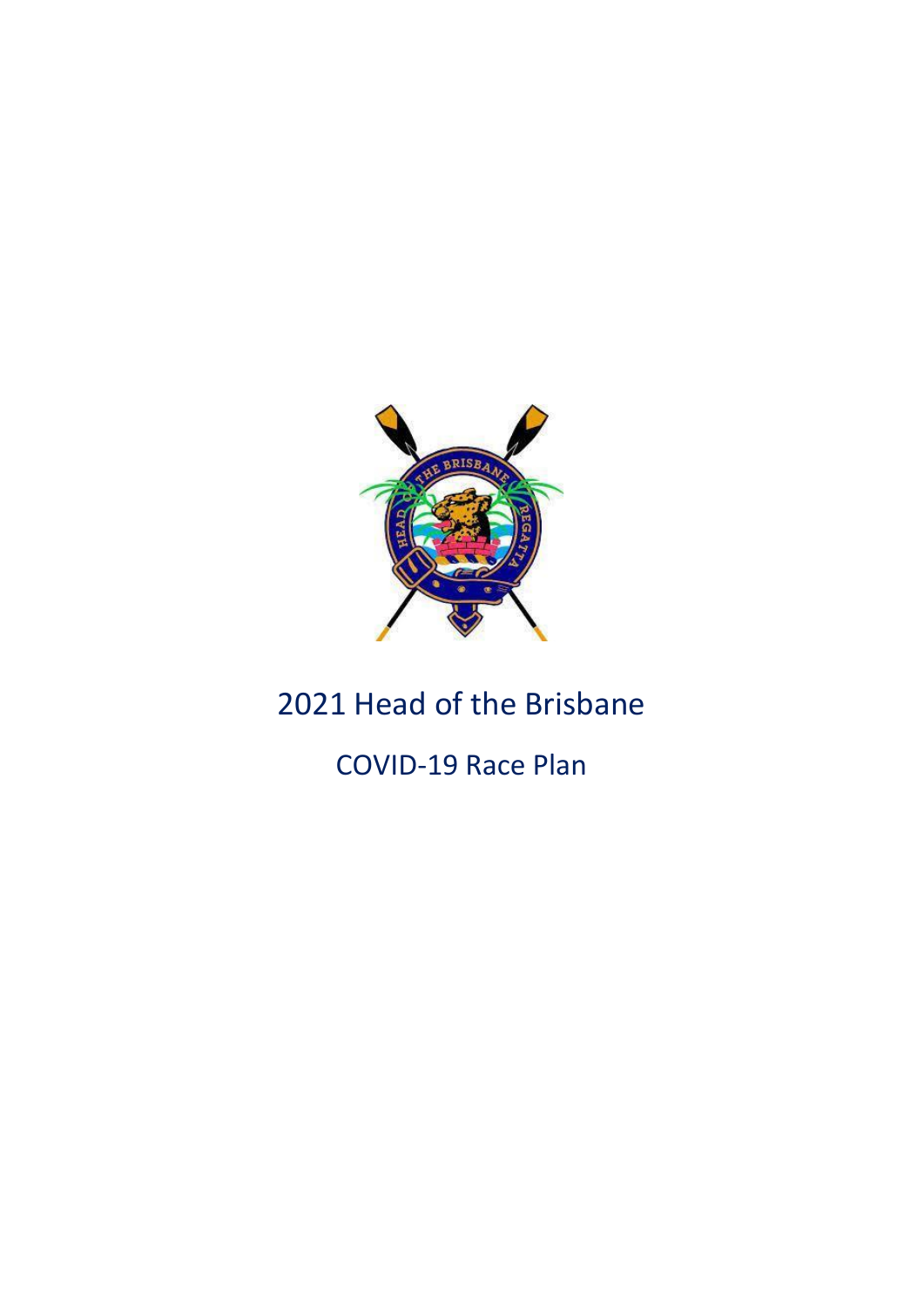

# 2021 Head of the Brisbane

COVID-19 Race Plan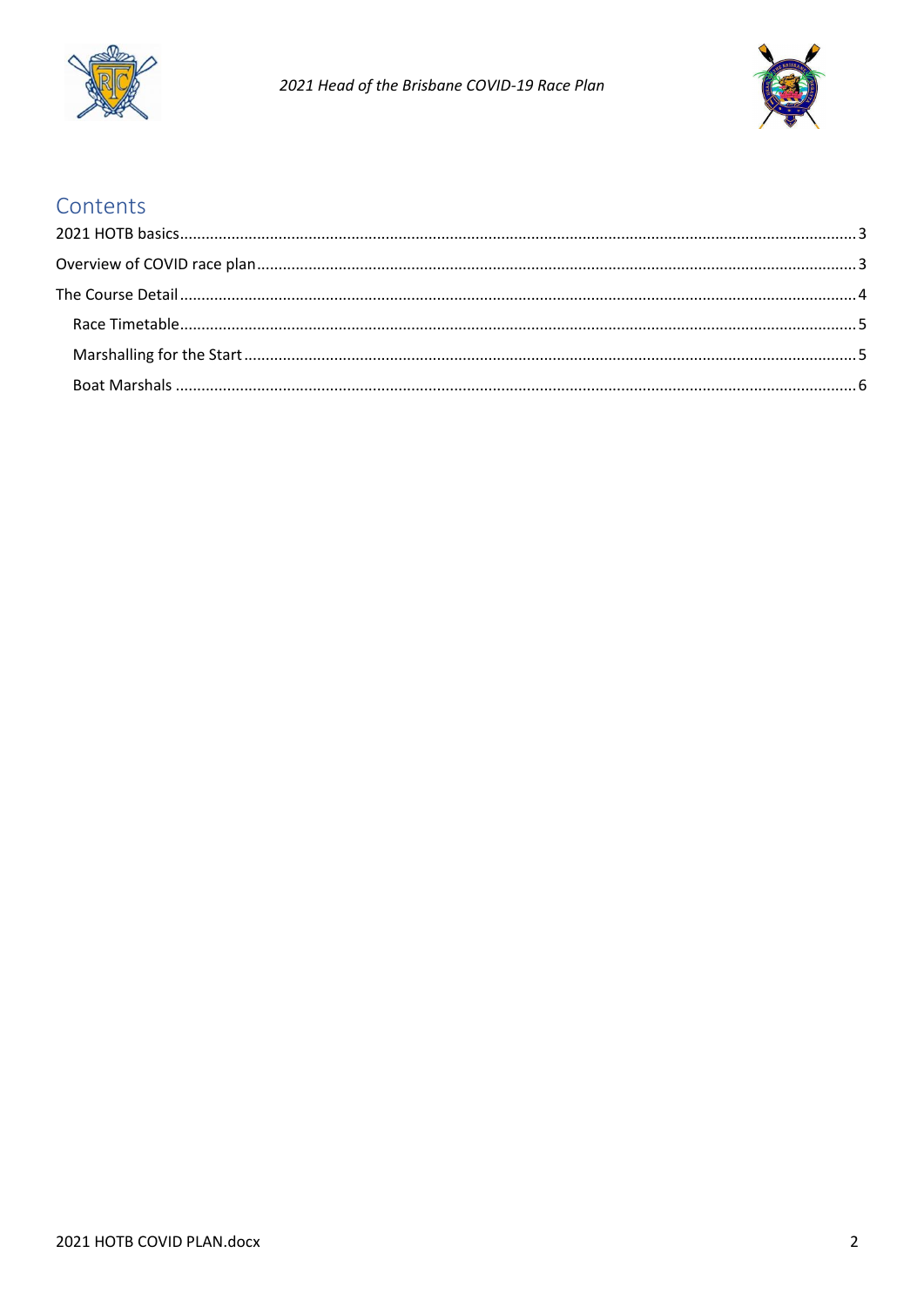



# Contents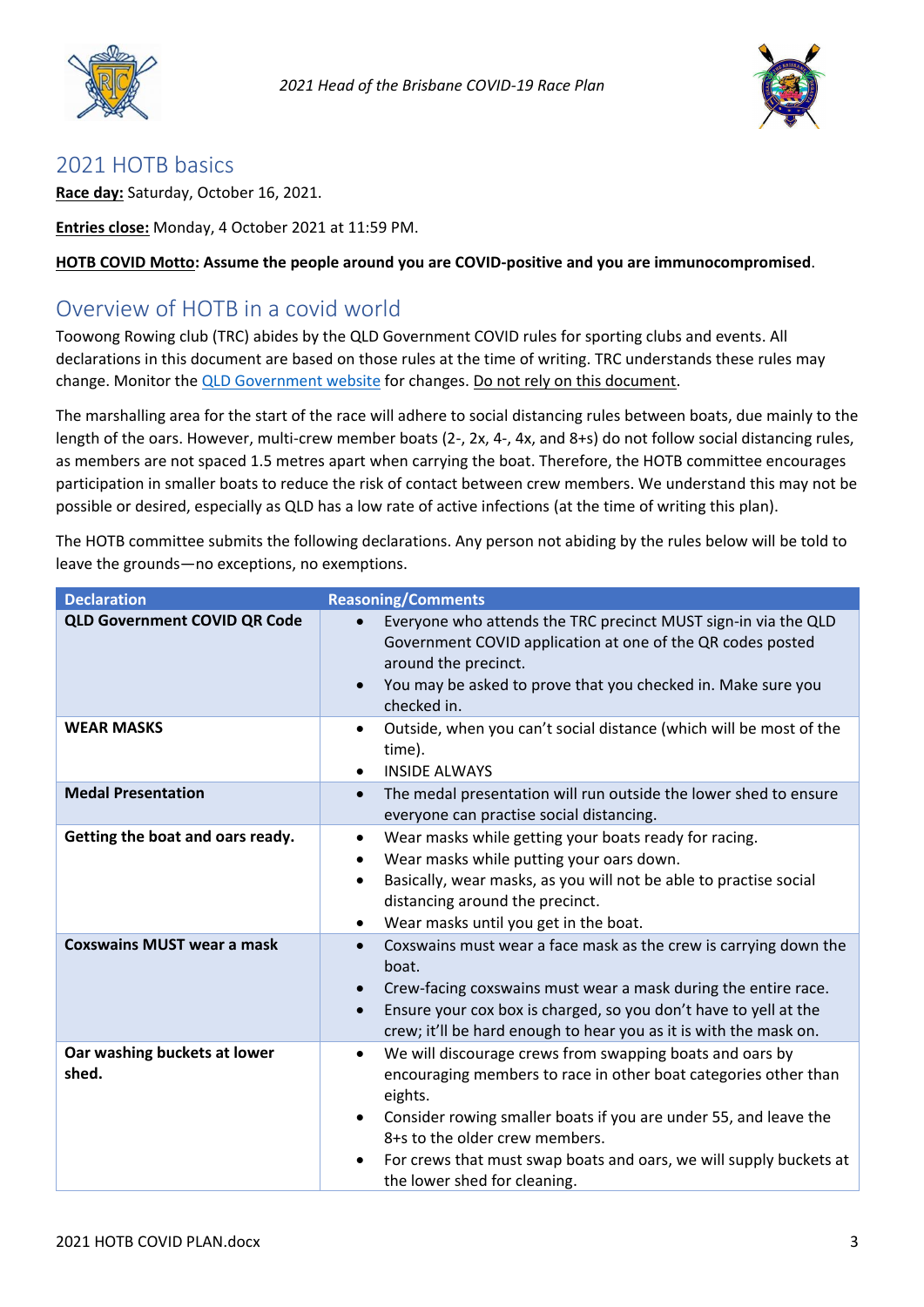



## <span id="page-2-0"></span>2021 HOTB basics

**Race day:** Saturday, October 16, 2021.

**Entries close:** Monday, 4 October 2021 at 11:59 PM.

**HOTB COVID Motto: Assume the people around you are COVID-positive and you are immunocompromised**.

## <span id="page-2-1"></span>Overview of HOTB in a covid world

Toowong Rowing club (TRC) abides by the QLD Government COVID rules for sporting clubs and events. All declarations in this document are based on those rules at the time of writing. TRC understands these rules may change. Monitor the **QLD** Government website for changes. Do not rely on this document.

The marshalling area for the start of the race will adhere to social distancing rules between boats, due mainly to the length of the oars. However, multi-crew member boats (2-, 2x, 4-, 4x, and 8+s) do not follow social distancing rules, as members are not spaced 1.5 metres apart when carrying the boat. Therefore, the HOTB committee encourages participation in smaller boats to reduce the risk of contact between crew members. We understand this may not be possible or desired, especially as QLD has a low rate of active infections (at the time of writing this plan).

The HOTB committee submits the following declarations. Any person not abiding by the rules below will be told to leave the grounds—no exceptions, no exemptions.

| <b>Declaration</b>                    | <b>Reasoning/Comments</b>                                                                                                                                                                                                                                                                                                                                                                 |
|---------------------------------------|-------------------------------------------------------------------------------------------------------------------------------------------------------------------------------------------------------------------------------------------------------------------------------------------------------------------------------------------------------------------------------------------|
| <b>QLD Government COVID QR Code</b>   | Everyone who attends the TRC precinct MUST sign-in via the QLD<br>$\bullet$<br>Government COVID application at one of the QR codes posted<br>around the precinct.<br>You may be asked to prove that you checked in. Make sure you<br>$\bullet$<br>checked in.                                                                                                                             |
| <b>WEAR MASKS</b>                     | Outside, when you can't social distance (which will be most of the<br>$\bullet$<br>time).<br><b>INSIDE ALWAYS</b><br>$\bullet$                                                                                                                                                                                                                                                            |
| <b>Medal Presentation</b>             | The medal presentation will run outside the lower shed to ensure<br>$\bullet$<br>everyone can practise social distancing.                                                                                                                                                                                                                                                                 |
| Getting the boat and oars ready.      | Wear masks while getting your boats ready for racing.<br>$\bullet$<br>Wear masks while putting your oars down.<br>$\bullet$<br>Basically, wear masks, as you will not be able to practise social<br>$\bullet$<br>distancing around the precinct.<br>Wear masks until you get in the boat.<br>$\bullet$                                                                                    |
| <b>Coxswains MUST wear a mask</b>     | Coxswains must wear a face mask as the crew is carrying down the<br>$\bullet$<br>boat.<br>Crew-facing coxswains must wear a mask during the entire race.<br>$\bullet$<br>Ensure your cox box is charged, so you don't have to yell at the<br>$\bullet$<br>crew; it'll be hard enough to hear you as it is with the mask on.                                                               |
| Oar washing buckets at lower<br>shed. | We will discourage crews from swapping boats and oars by<br>$\bullet$<br>encouraging members to race in other boat categories other than<br>eights.<br>Consider rowing smaller boats if you are under 55, and leave the<br>$\bullet$<br>8+s to the older crew members.<br>For crews that must swap boats and oars, we will supply buckets at<br>$\bullet$<br>the lower shed for cleaning. |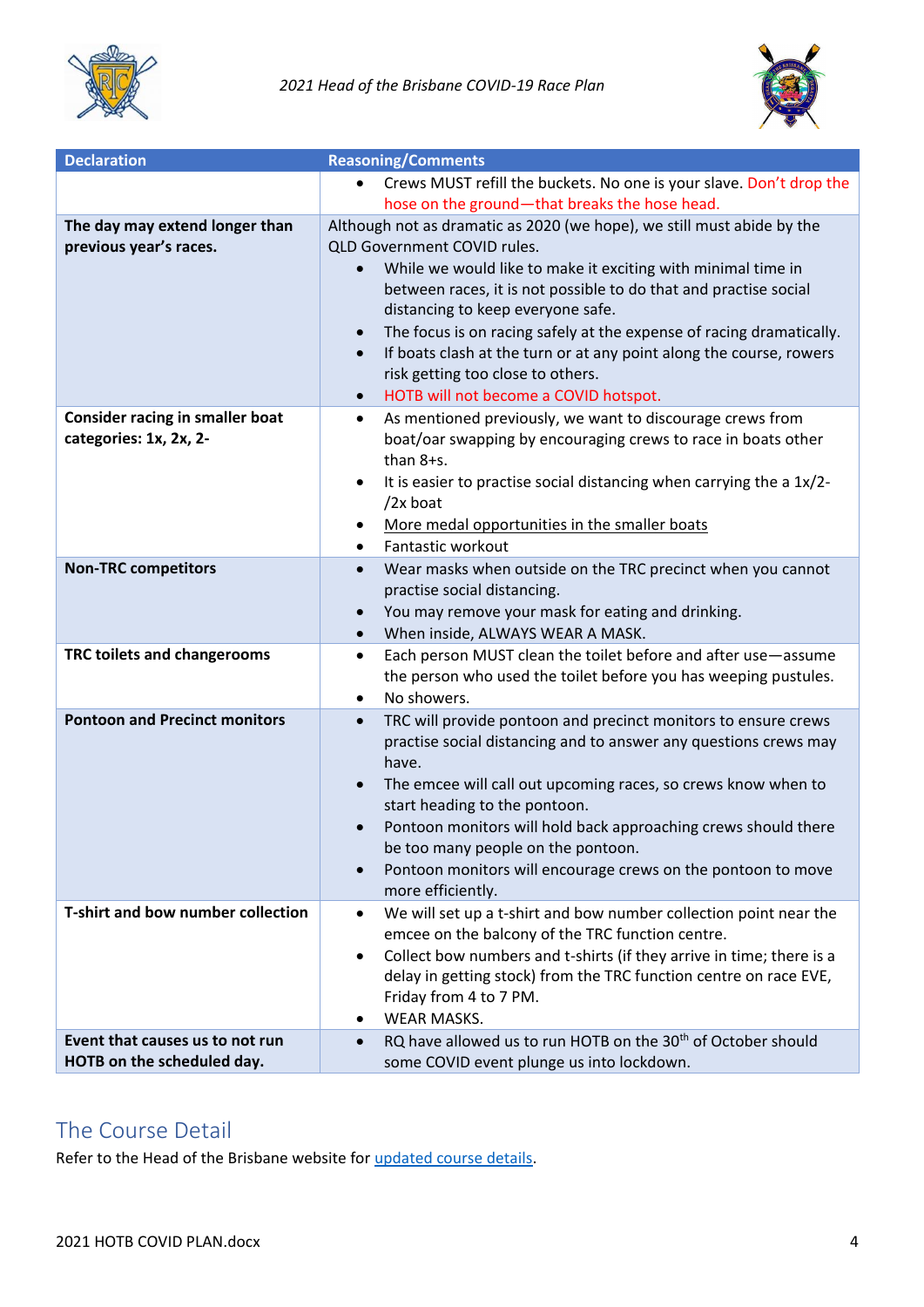



| <b>Declaration</b>                     | <b>Reasoning/Comments</b>                                                                                                        |
|----------------------------------------|----------------------------------------------------------------------------------------------------------------------------------|
|                                        | Crews MUST refill the buckets. No one is your slave. Don't drop the<br>$\bullet$                                                 |
|                                        | hose on the ground-that breaks the hose head.                                                                                    |
| The day may extend longer than         | Although not as dramatic as 2020 (we hope), we still must abide by the                                                           |
| previous year's races.                 | QLD Government COVID rules.                                                                                                      |
|                                        | While we would like to make it exciting with minimal time in<br>between races, it is not possible to do that and practise social |
|                                        | distancing to keep everyone safe.                                                                                                |
|                                        | The focus is on racing safely at the expense of racing dramatically.<br>$\bullet$                                                |
|                                        | If boats clash at the turn or at any point along the course, rowers<br>$\bullet$<br>risk getting too close to others.            |
|                                        | HOTB will not become a COVID hotspot.<br>$\bullet$                                                                               |
| <b>Consider racing in smaller boat</b> | As mentioned previously, we want to discourage crews from<br>٠                                                                   |
| categories: 1x, 2x, 2-                 | boat/oar swapping by encouraging crews to race in boats other<br>than 8+s.                                                       |
|                                        | It is easier to practise social distancing when carrying the a 1x/2-<br>٠                                                        |
|                                        | $/2x$ boat                                                                                                                       |
|                                        | More medal opportunities in the smaller boats<br>Fantastic workout<br>٠                                                          |
|                                        |                                                                                                                                  |
| <b>Non-TRC competitors</b>             | Wear masks when outside on the TRC precinct when you cannot<br>$\bullet$<br>practise social distancing.                          |
|                                        | You may remove your mask for eating and drinking.                                                                                |
|                                        | When inside, ALWAYS WEAR A MASK.<br>$\bullet$                                                                                    |
|                                        |                                                                                                                                  |
| TRC toilets and changerooms            | Each person MUST clean the toilet before and after use-assume<br>٠                                                               |
|                                        | the person who used the toilet before you has weeping pustules.<br>No showers.                                                   |
|                                        | $\bullet$                                                                                                                        |
| <b>Pontoon and Precinct monitors</b>   | TRC will provide pontoon and precinct monitors to ensure crews<br>$\bullet$                                                      |
|                                        | practise social distancing and to answer any questions crews may<br>have.                                                        |
|                                        | The emcee will call out upcoming races, so crews know when to                                                                    |
|                                        | start heading to the pontoon.                                                                                                    |
|                                        | Pontoon monitors will hold back approaching crews should there<br>be too many people on the pontoon.                             |
|                                        | Pontoon monitors will encourage crews on the pontoon to move                                                                     |
|                                        | more efficiently.                                                                                                                |
| T-shirt and bow number collection      | We will set up a t-shirt and bow number collection point near the<br>$\bullet$                                                   |
|                                        | emcee on the balcony of the TRC function centre.                                                                                 |
|                                        | Collect bow numbers and t-shirts (if they arrive in time; there is a                                                             |
|                                        | delay in getting stock) from the TRC function centre on race EVE,                                                                |
|                                        | Friday from 4 to 7 PM.                                                                                                           |
|                                        | <b>WEAR MASKS.</b>                                                                                                               |
| Event that causes us to not run        | RQ have allowed us to run HOTB on the 30 <sup>th</sup> of October should<br>$\bullet$                                            |
| HOTB on the scheduled day.             | some COVID event plunge us into lockdown.                                                                                        |

# <span id="page-3-0"></span>The Course Detail

Refer to the Head of the Brisbane website for [updated course details.](http://headofthebrisbane.com/images/2021-course-plans.pdf)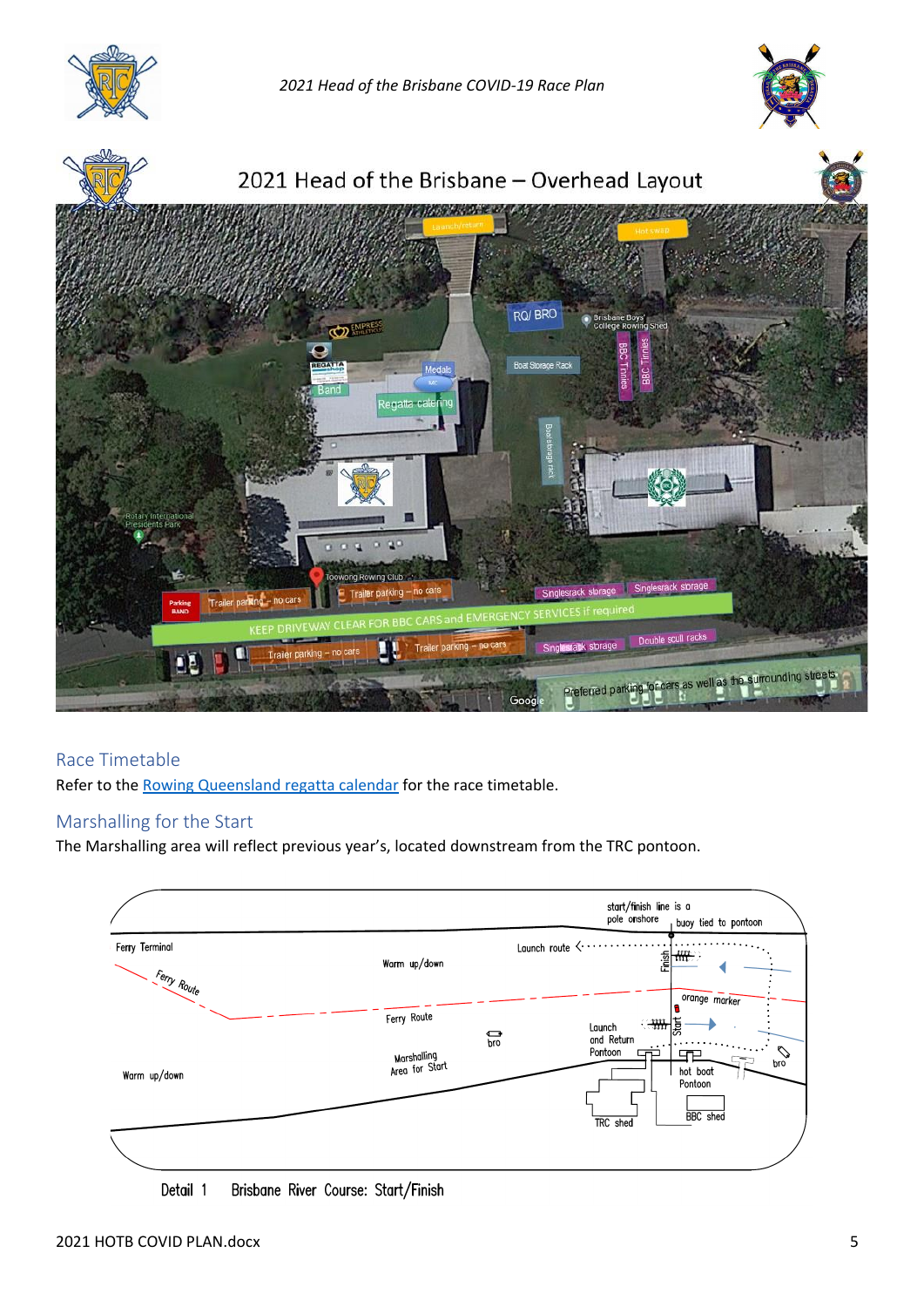

*2021 Head of the Brisbane COVID-19 Race Plan*





### <span id="page-4-0"></span>Race Timetable

Refer to the [Rowing Queensland regatta calendar](https://rowingmanager.com/regattas/5355) for the race timetable.

#### <span id="page-4-1"></span>Marshalling for the Start

The Marshalling area will reflect previous year's, located downstream from the TRC pontoon.



Detail 1 Brisbane River Course: Start/Finish